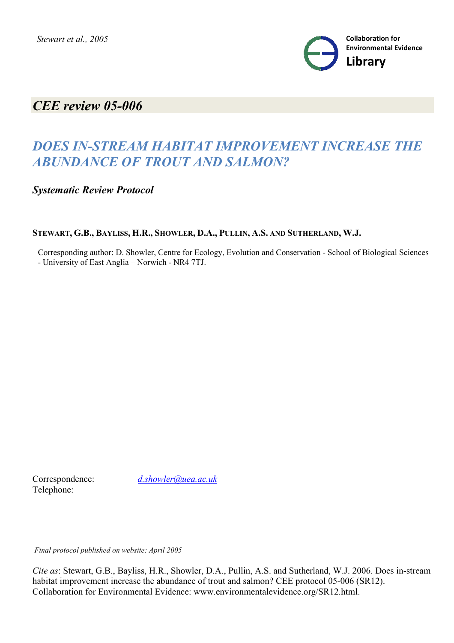

# *CEE review 05-006*

# *DOES IN-STREAM HABITAT IMPROVEMENT INCREASE THE ABUNDANCE OF TROUT AND SALMON?*

*Systematic Review Protocol*

STEWART, G.B., BAYLISS, H.R., SHOWLER, D.A., PULLIN, A.S. AND SUTHERLAND, W.J.

Corresponding author: D. Showler, Centre for Ecology, Evolution and Conservation - School of Biological Sciences - University of East Anglia – Norwich - NR4 7TJ.

Telephone:

Correspondence: *d.showler@uea.ac.uk*

*Final protocol published on website: April 2005*

*Cite as*: Stewart, G.B., Bayliss, H.R., Showler, D.A., Pullin, A.S. and Sutherland, W.J. 2006. Does in-stream habitat improvement increase the abundance of trout and salmon? CEE protocol 05-006 (SR12). Collaboration for Environmental Evidence: www.environmentalevidence.org/SR12.html.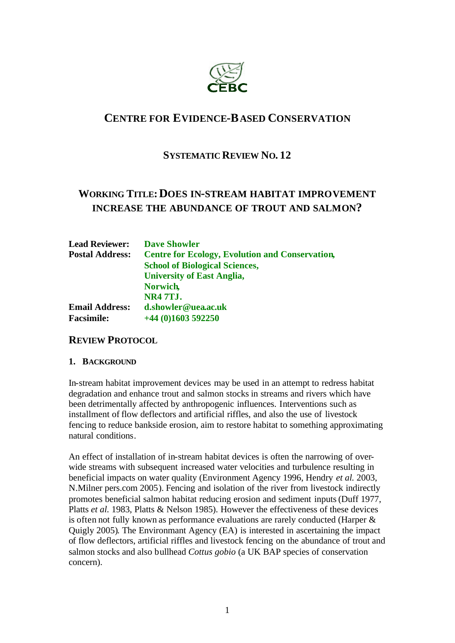

# **CENTRE FOR EVIDENCE-BASED CONSERVATION**

## **SYSTEMATIC REVIEW NO. 12**

# **WORKING TITLE:DOES IN-STREAM HABITAT IMPROVEMENT INCREASE THE ABUNDANCE OF TROUT AND SALMON?**

| <b>Lead Reviewer:</b>  | <b>Dave Showler</b>                                    |
|------------------------|--------------------------------------------------------|
| <b>Postal Address:</b> | <b>Centre for Ecology, Evolution and Conservation,</b> |
|                        | <b>School of Biological Sciences,</b>                  |
|                        | <b>University of East Anglia,</b>                      |
|                        | <b>Norwich</b>                                         |
|                        | <b>NR4 7TJ.</b>                                        |
| <b>Email Address:</b>  | d.showler@uea.ac.uk                                    |
| <b>Facsimile:</b>      | $+44$ (0)1603 592250                                   |

#### **REVIEW PROTOCOL**

#### **1. BACKGROUND**

In-stream habitat improvement devices may be used in an attempt to redress habitat degradation and enhance trout and salmon stocks in streams and rivers which have been detrimentally affected by anthropogenic influences. Interventions such as installment of flow deflectors and artificial riffles, and also the use of livestock fencing to reduce bankside erosion, aim to restore habitat to something approximating natural conditions.

An effect of installation of in-stream habitat devices is often the narrowing of overwide streams with subsequent increased water velocities and turbulence resulting in beneficial impacts on water quality (Environment Agency 1996, Hendry *et al.* 2003, N.Milner pers.com 2005). Fencing and isolation of the river from livestock indirectly promotes beneficial salmon habitat reducing erosion and sediment inputs (Duff 1977, Platts *et al.* 1983, Platts & Nelson 1985). However the effectiveness of these devices is often not fully known as performance evaluations are rarely conducted (Harper & Quigly 2005). The Environmant Agency (EA) is interested in ascertaining the impact of flow deflectors, artificial riffles and livestock fencing on the abundance of trout and salmon stocks and also bullhead *Cottus gobio* (a UK BAP species of conservation concern).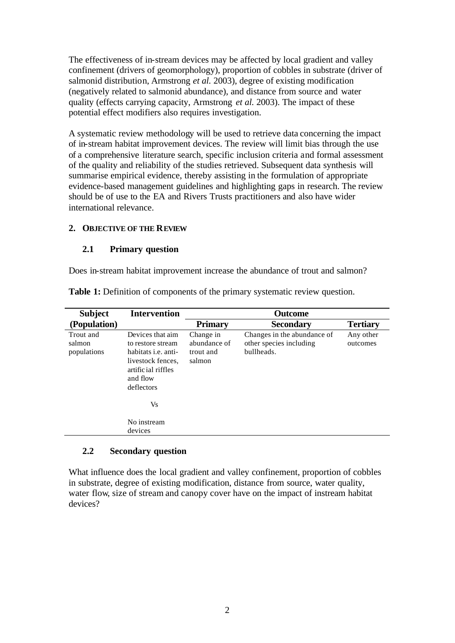The effectiveness of in-stream devices may be affected by local gradient and valley confinement (drivers of geomorphology), proportion of cobbles in substrate (driver of salmonid distribution, Armstrong *et al.* 2003), degree of existing modification (negatively related to salmonid abundance), and distance from source and water quality (effects carrying capacity, Armstrong *et al.* 2003). The impact of these potential effect modifiers also requires investigation.

A systematic review methodology will be used to retrieve data concerning the impact of in-stream habitat improvement devices. The review will limit bias through the use of a comprehensive literature search, specific inclusion criteria and formal assessment of the quality and reliability of the studies retrieved. Subsequent data synthesis will summarise empirical evidence, thereby assisting in the formulation of appropriate evidence-based management guidelines and highlighting gaps in research. The review should be of use to the EA and Rivers Trusts practitioners and also have wider international relevance.

#### **2. OBJECTIVE OF THE REVIEW**

#### **2.1 Primary question**

Does in-stream habitat improvement increase the abundance of trout and salmon?

| <b>Subject</b>                     | <b>Intervention</b>                                                                                                                             |                                                  | <b>Outcome</b>                                                       |                       |
|------------------------------------|-------------------------------------------------------------------------------------------------------------------------------------------------|--------------------------------------------------|----------------------------------------------------------------------|-----------------------|
| (Population)                       |                                                                                                                                                 | <b>Primary</b>                                   | <b>Secondary</b>                                                     | <b>Tertiary</b>       |
| Trout and<br>salmon<br>populations | Devices that aim<br>to restore stream<br>habitats <i>i.e.</i> anti-<br>livestock fences.<br>artific ial riffles<br>and flow<br>deflectors<br>Vs | Change in<br>abundance of<br>trout and<br>salmon | Changes in the abundance of<br>other species including<br>bullheads. | Any other<br>outcomes |
|                                    | No instream<br>devices                                                                                                                          |                                                  |                                                                      |                       |

**Table 1:** Definition of components of the primary systematic review question.

#### **2.2 Secondary question**

What influence does the local gradient and valley confinement, proportion of cobbles in substrate, degree of existing modification, distance from source, water quality, water flow, size of stream and canopy cover have on the impact of instream habitat devices?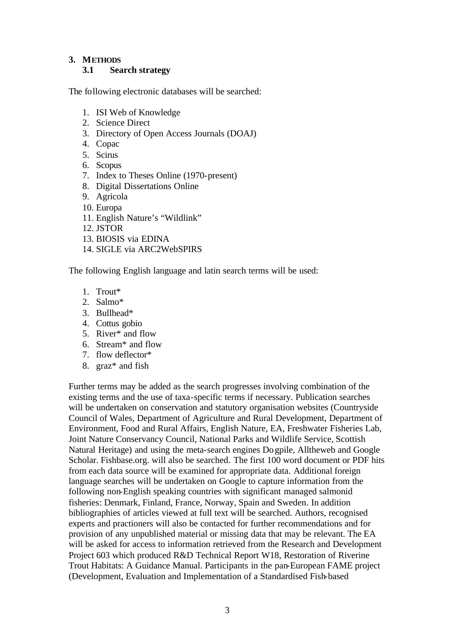#### **3. METHODS**

#### **3.1 Search strategy**

The following electronic databases will be searched:

- 1. ISI Web of Knowledge
- 2. Science Direct
- 3. Directory of Open Access Journals (DOAJ)
- 4. Copac
- 5. Scirus
- 6. Scopus
- 7. Index to Theses Online (1970-present)
- 8. Digital Dissertations Online
- 9. Agricola
- 10. Europa
- 11. English Nature's "Wildlink"
- 12. JSTOR
- 13. BIOSIS via EDINA
- 14. SIGLE via ARC2WebSPIRS

The following English language and latin search terms will be used:

- 1. Trout\*
- 2. Salmo\*
- 3. Bullhead\*
- 4. Cottus gobio
- 5. River\* and flow
- 6. Stream\* and flow
- 7. flow deflector\*
- 8. graz\* and fish

Further terms may be added as the search progresses involving combination of the existing terms and the use of taxa-specific terms if necessary. Publication searches will be undertaken on conservation and statutory organisation websites (Countryside Council of Wales, Department of Agriculture and Rural Development, Department of Environment, Food and Rural Affairs, English Nature, EA, Freshwater Fisheries Lab, Joint Nature Conservancy Council, National Parks and Wildlife Service, Scottish Natural Heritage) and using the meta-search engines Dogpile, Alltheweb and Google Scholar. Fishbase.org. will also be searched. The first 100 word document or PDF hits from each data source will be examined for appropriate data. Additional foreign language searches will be undertaken on Google to capture information from the following non-English speaking countries with significant managed salmonid fisheries: Denmark, Finland, France, Norway, Spain and Sweden. In addition bibliographies of articles viewed at full text will be searched. Authors, recognised experts and practioners will also be contacted for further recommendations and for provision of any unpublished material or missing data that may be relevant. The EA will be asked for access to information retrieved from the Research and Development Project 603 which produced R&D Technical Report W18, Restoration of Riverine Trout Habitats: A Guidance Manual. Participants in the pan-European FAME project (Development, Evaluation and Implementation of a Standardised Fish-based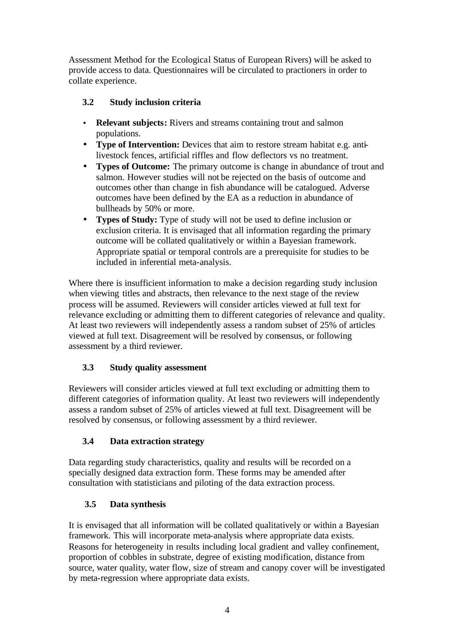Assessment Method for the Ecological Status of European Rivers) will be asked to provide access to data. Questionnaires will be circulated to practioners in order to collate experience.

### **3.2 Study inclusion criteria**

- **Relevant subjects:** Rivers and streams containing trout and salmon populations.
- **Type of Intervention:** Devices that aim to restore stream habitat e.g. antilivestock fences, artificial riffles and flow deflectors vs no treatment.
- **Types of Outcome:** The primary outcome is change in abundance of trout and salmon. However studies will not be rejected on the basis of outcome and outcomes other than change in fish abundance will be catalogued. Adverse outcomes have been defined by the EA as a reduction in abundance of bullheads by 50% or more.
- **Types of Study:** Type of study will not be used to define inclusion or exclusion criteria. It is envisaged that all information regarding the primary outcome will be collated qualitatively or within a Bayesian framework. Appropriate spatial or temporal controls are a prerequisite for studies to be included in inferential meta-analysis.

Where there is insufficient information to make a decision regarding study inclusion when viewing titles and abstracts, then relevance to the next stage of the review process will be assumed. Reviewers will consider articles viewed at full text for relevance excluding or admitting them to different categories of relevance and quality. At least two reviewers will independently assess a random subset of 25% of articles viewed at full text. Disagreement will be resolved by consensus, or following assessment by a third reviewer.

### **3.3 Study quality assessment**

Reviewers will consider articles viewed at full text excluding or admitting them to different categories of information quality. At least two reviewers will independently assess a random subset of 25% of articles viewed at full text. Disagreement will be resolved by consensus, or following assessment by a third reviewer.

# **3.4 Data extraction strategy**

Data regarding study characteristics, quality and results will be recorded on a specially designed data extraction form. These forms may be amended after consultation with statisticians and piloting of the data extraction process.

### **3.5 Data synthesis**

It is envisaged that all information will be collated qualitatively or within a Bayesian framework. This will incorporate meta-analysis where appropriate data exists. Reasons for heterogeneity in results including local gradient and valley confinement, proportion of cobbles in substrate, degree of existing modification, distance from source, water quality, water flow, size of stream and canopy cover will be investigated by meta-regression where appropriate data exists.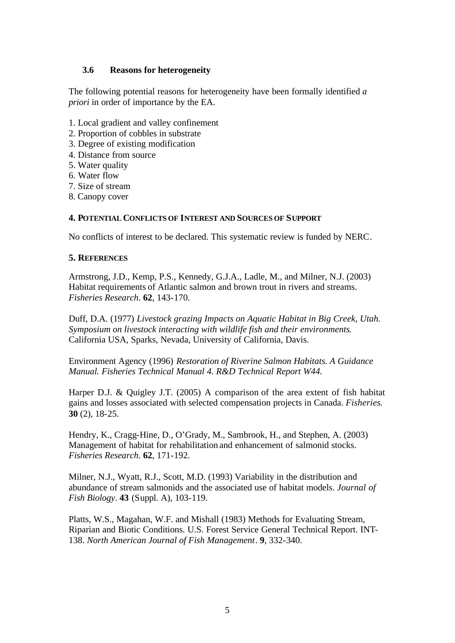#### **3.6 Reasons for heterogeneity**

The following potential reasons for heterogeneity have been formally identified *a priori* in order of importance by the EA.

- 1. Local gradient and valley confinement
- 2. Proportion of cobbles in substrate
- 3. Degree of existing modification
- 4. Distance from source
- 5. Water quality
- 6. Water flow
- 7. Size of stream
- 8. Canopy cover

#### **4. POTENTIAL CONFLICTS OF INTEREST AND SOURCES OF SUPPORT**

No conflicts of interest to be declared. This systematic review is funded by NERC.

#### **5. REFERENCES**

Armstrong, J.D., Kemp, P.S., Kennedy, G.J.A., Ladle, M., and Milner, N.J. (2003) Habitat requirements of Atlantic salmon and brown trout in rivers and streams. *Fisheries Research*. **62**, 143-170.

Duff, D.A. (1977) *Livestock grazing Impacts on Aquatic Habitat in Big Creek, Utah. Symposium on livestock interacting with wildlife fish and their environments*. California USA, Sparks, Nevada, University of California, Davis.

Environment Agency (1996) *Restoration of Riverine Salmon Habitats. A Guidance Manual. Fisheries Technical Manual 4. R&D Technical Report W44.*

Harper D.J. & Quigley J.T. (2005) A comparison of the area extent of fish habitat gains and losses associated with selected compensation projects in Canada. *Fisheries*. **30** (2), 18-25.

Hendry, K., Cragg-Hine, D., O'Grady, M., Sambrook, H., and Stephen, A. (2003) Management of habitat for rehabilitation and enhancement of salmonid stocks. *Fisheries Research*. **62**, 171-192.

Milner, N.J., Wyatt, R.J., Scott, M.D. (1993) Variability in the distribution and abundance of stream salmonids and the associated use of habitat models. *Journal of Fish Biology*. **43** (Suppl. A), 103-119.

Platts, W.S., Magahan, W.F. and Mishall (1983) Methods for Evaluating Stream, Riparian and Biotic Conditions. U.S. Forest Service General Technical Report. INT-138. *North American Journal of Fish Management*. **9**, 332-340.